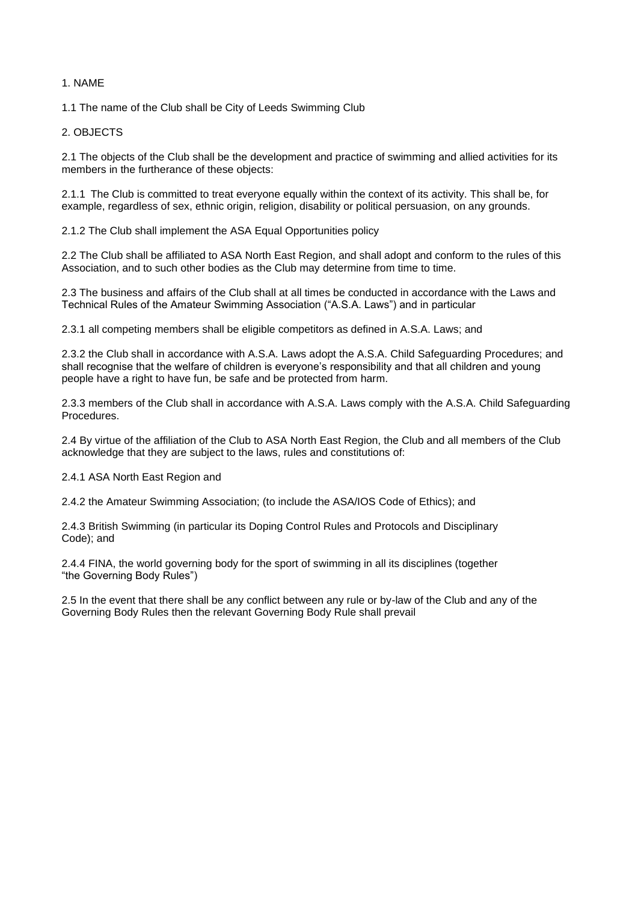# 1. NAME

1.1 The name of the Club shall be City of Leeds Swimming Club

# 2. OBJECTS

2.1 The objects of the Club shall be the development and practice of swimming and allied activities for its members in the furtherance of these objects:

2.1.1 The Club is committed to treat everyone equally within the context of its activity. This shall be, for example, regardless of sex, ethnic origin, religion, disability or political persuasion, on any grounds.

2.1.2 The Club shall implement the ASA Equal Opportunities policy

2.2 The Club shall be affiliated to ASA North East Region, and shall adopt and conform to the rules of this Association, and to such other bodies as the Club may determine from time to time.

2.3 The business and affairs of the Club shall at all times be conducted in accordance with the Laws and Technical Rules of the Amateur Swimming Association ("A.S.A. Laws") and in particular

2.3.1 all competing members shall be eligible competitors as defined in A.S.A. Laws; and

2.3.2 the Club shall in accordance with A.S.A. Laws adopt the A.S.A. Child Safeguarding Procedures; and shall recognise that the welfare of children is everyone's responsibility and that all children and young people have a right to have fun, be safe and be protected from harm.

2.3.3 members of the Club shall in accordance with A.S.A. Laws comply with the A.S.A. Child Safeguarding Procedures.

2.4 By virtue of the affiliation of the Club to ASA North East Region, the Club and all members of the Club acknowledge that they are subject to the laws, rules and constitutions of:

2.4.1 ASA North East Region and

2.4.2 the Amateur Swimming Association; (to include the ASA/IOS Code of Ethics); and

2.4.3 British Swimming (in particular its Doping Control Rules and Protocols and Disciplinary Code); and

2.4.4 FINA, the world governing body for the sport of swimming in all its disciplines (together "the Governing Body Rules")

2.5 In the event that there shall be any conflict between any rule or by-law of the Club and any of the Governing Body Rules then the relevant Governing Body Rule shall prevail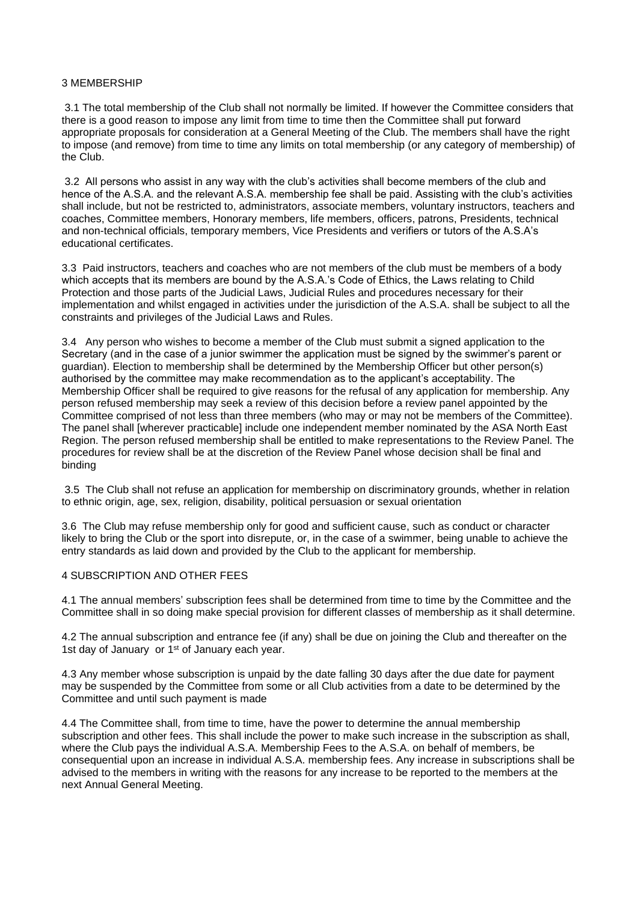### 3 MEMBERSHIP

3.1 The total membership of the Club shall not normally be limited. If however the Committee considers that there is a good reason to impose any limit from time to time then the Committee shall put forward appropriate proposals for consideration at a General Meeting of the Club. The members shall have the right to impose (and remove) from time to time any limits on total membership (or any category of membership) of the Club.

3.2 All persons who assist in any way with the club's activities shall become members of the club and hence of the A.S.A. and the relevant A.S.A. membership fee shall be paid. Assisting with the club's activities shall include, but not be restricted to, administrators, associate members, voluntary instructors, teachers and coaches, Committee members, Honorary members, life members, officers, patrons, Presidents, technical and non-technical officials, temporary members, Vice Presidents and verifiers or tutors of the A.S.A's educational certificates.

3.3 Paid instructors, teachers and coaches who are not members of the club must be members of a body which accepts that its members are bound by the A.S.A.'s Code of Ethics, the Laws relating to Child Protection and those parts of the Judicial Laws, Judicial Rules and procedures necessary for their implementation and whilst engaged in activities under the jurisdiction of the A.S.A. shall be subject to all the constraints and privileges of the Judicial Laws and Rules.

3.4 Any person who wishes to become a member of the Club must submit a signed application to the Secretary (and in the case of a junior swimmer the application must be signed by the swimmer's parent or guardian). Election to membership shall be determined by the Membership Officer but other person(s) authorised by the committee may make recommendation as to the applicant's acceptability. The Membership Officer shall be required to give reasons for the refusal of any application for membership. Any person refused membership may seek a review of this decision before a review panel appointed by the Committee comprised of not less than three members (who may or may not be members of the Committee). The panel shall [wherever practicable] include one independent member nominated by the ASA North East Region. The person refused membership shall be entitled to make representations to the Review Panel. The procedures for review shall be at the discretion of the Review Panel whose decision shall be final and binding

3.5 The Club shall not refuse an application for membership on discriminatory grounds, whether in relation to ethnic origin, age, sex, religion, disability, political persuasion or sexual orientation

3.6 The Club may refuse membership only for good and sufficient cause, such as conduct or character likely to bring the Club or the sport into disrepute, or, in the case of a swimmer, being unable to achieve the entry standards as laid down and provided by the Club to the applicant for membership.

## 4 SUBSCRIPTION AND OTHER FEES

4.1 The annual members' subscription fees shall be determined from time to time by the Committee and the Committee shall in so doing make special provision for different classes of membership as it shall determine.

4.2 The annual subscription and entrance fee (if any) shall be due on joining the Club and thereafter on the 1st day of January or 1<sup>st</sup> of January each year.

4.3 Any member whose subscription is unpaid by the date falling 30 days after the due date for payment may be suspended by the Committee from some or all Club activities from a date to be determined by the Committee and until such payment is made

4.4 The Committee shall, from time to time, have the power to determine the annual membership subscription and other fees. This shall include the power to make such increase in the subscription as shall, where the Club pays the individual A.S.A. Membership Fees to the A.S.A. on behalf of members, be consequential upon an increase in individual A.S.A. membership fees. Any increase in subscriptions shall be advised to the members in writing with the reasons for any increase to be reported to the members at the next Annual General Meeting.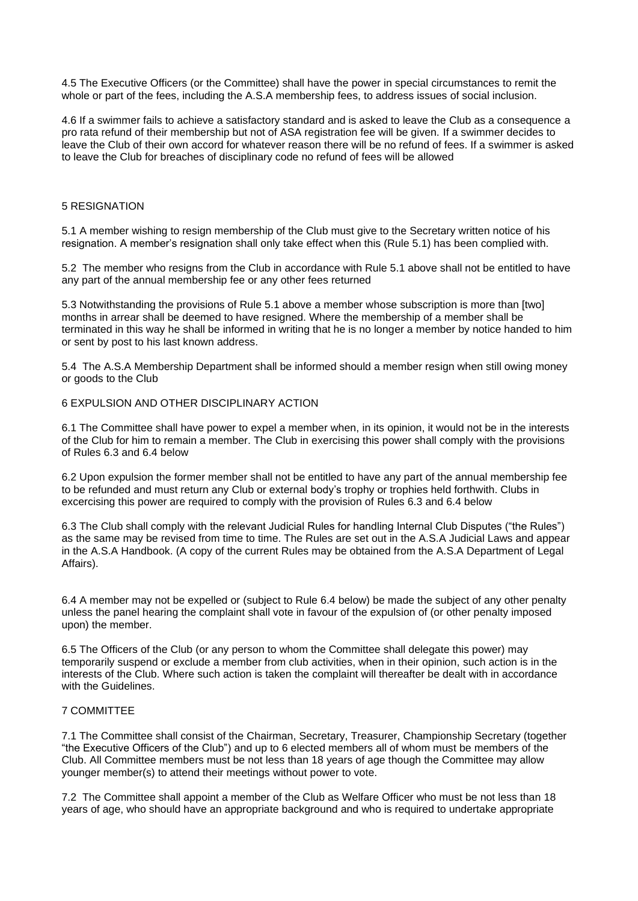4.5 The Executive Officers (or the Committee) shall have the power in special circumstances to remit the whole or part of the fees, including the A.S.A membership fees, to address issues of social inclusion.

4.6 If a swimmer fails to achieve a satisfactory standard and is asked to leave the Club as a consequence a pro rata refund of their membership but not of ASA registration fee will be given. If a swimmer decides to leave the Club of their own accord for whatever reason there will be no refund of fees. If a swimmer is asked to leave the Club for breaches of disciplinary code no refund of fees will be allowed

### 5 RESIGNATION

5.1 A member wishing to resign membership of the Club must give to the Secretary written notice of his resignation. A member's resignation shall only take effect when this (Rule 5.1) has been complied with.

5.2 The member who resigns from the Club in accordance with Rule 5.1 above shall not be entitled to have any part of the annual membership fee or any other fees returned

5.3 Notwithstanding the provisions of Rule 5.1 above a member whose subscription is more than [two] months in arrear shall be deemed to have resigned. Where the membership of a member shall be terminated in this way he shall be informed in writing that he is no longer a member by notice handed to him or sent by post to his last known address.

5.4 The A.S.A Membership Department shall be informed should a member resign when still owing money or goods to the Club

# 6 EXPULSION AND OTHER DISCIPLINARY ACTION

6.1 The Committee shall have power to expel a member when, in its opinion, it would not be in the interests of the Club for him to remain a member. The Club in exercising this power shall comply with the provisions of Rules 6.3 and 6.4 below

6.2 Upon expulsion the former member shall not be entitled to have any part of the annual membership fee to be refunded and must return any Club or external body's trophy or trophies held forthwith. Clubs in excercising this power are required to comply with the provision of Rules 6.3 and 6.4 below

6.3 The Club shall comply with the relevant Judicial Rules for handling Internal Club Disputes ("the Rules") as the same may be revised from time to time. The Rules are set out in the A.S.A Judicial Laws and appear in the A.S.A Handbook. (A copy of the current Rules may be obtained from the A.S.A Department of Legal Affairs).

6.4 A member may not be expelled or (subject to Rule 6.4 below) be made the subject of any other penalty unless the panel hearing the complaint shall vote in favour of the expulsion of (or other penalty imposed upon) the member.

6.5 The Officers of the Club (or any person to whom the Committee shall delegate this power) may temporarily suspend or exclude a member from club activities, when in their opinion, such action is in the interests of the Club. Where such action is taken the complaint will thereafter be dealt with in accordance with the Guidelines.

## 7 COMMITTEE

7.1 The Committee shall consist of the Chairman, Secretary, Treasurer, Championship Secretary (together "the Executive Officers of the Club") and up to 6 elected members all of whom must be members of the Club. All Committee members must be not less than 18 years of age though the Committee may allow younger member(s) to attend their meetings without power to vote.

7.2 The Committee shall appoint a member of the Club as Welfare Officer who must be not less than 18 years of age, who should have an appropriate background and who is required to undertake appropriate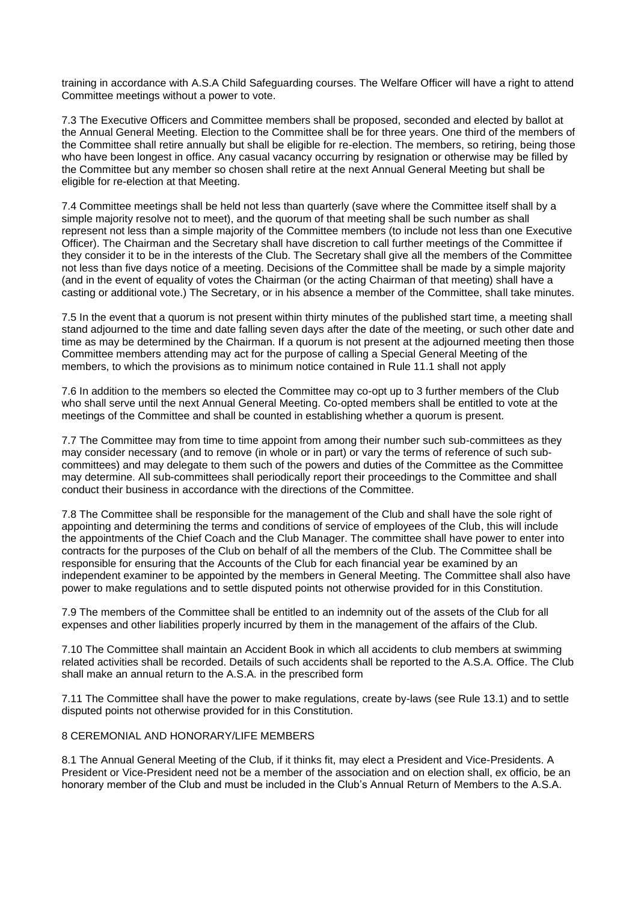training in accordance with A.S.A Child Safeguarding courses. The Welfare Officer will have a right to attend Committee meetings without a power to vote.

7.3 The Executive Officers and Committee members shall be proposed, seconded and elected by ballot at the Annual General Meeting. Election to the Committee shall be for three years. One third of the members of the Committee shall retire annually but shall be eligible for re-election. The members, so retiring, being those who have been longest in office. Any casual vacancy occurring by resignation or otherwise may be filled by the Committee but any member so chosen shall retire at the next Annual General Meeting but shall be eligible for re-election at that Meeting.

7.4 Committee meetings shall be held not less than quarterly (save where the Committee itself shall by a simple majority resolve not to meet), and the quorum of that meeting shall be such number as shall represent not less than a simple majority of the Committee members (to include not less than one Executive Officer). The Chairman and the Secretary shall have discretion to call further meetings of the Committee if they consider it to be in the interests of the Club. The Secretary shall give all the members of the Committee not less than five days notice of a meeting. Decisions of the Committee shall be made by a simple majority (and in the event of equality of votes the Chairman (or the acting Chairman of that meeting) shall have a casting or additional vote.) The Secretary, or in his absence a member of the Committee, shall take minutes.

7.5 In the event that a quorum is not present within thirty minutes of the published start time, a meeting shall stand adjourned to the time and date falling seven days after the date of the meeting, or such other date and time as may be determined by the Chairman. If a quorum is not present at the adjourned meeting then those Committee members attending may act for the purpose of calling a Special General Meeting of the members, to which the provisions as to minimum notice contained in Rule 11.1 shall not apply

7.6 In addition to the members so elected the Committee may co-opt up to 3 further members of the Club who shall serve until the next Annual General Meeting. Co-opted members shall be entitled to vote at the meetings of the Committee and shall be counted in establishing whether a quorum is present.

7.7 The Committee may from time to time appoint from among their number such sub-committees as they may consider necessary (and to remove (in whole or in part) or vary the terms of reference of such subcommittees) and may delegate to them such of the powers and duties of the Committee as the Committee may determine. All sub-committees shall periodically report their proceedings to the Committee and shall conduct their business in accordance with the directions of the Committee.

7.8 The Committee shall be responsible for the management of the Club and shall have the sole right of appointing and determining the terms and conditions of service of employees of the Club, this will include the appointments of the Chief Coach and the Club Manager. The committee shall have power to enter into contracts for the purposes of the Club on behalf of all the members of the Club. The Committee shall be responsible for ensuring that the Accounts of the Club for each financial year be examined by an independent examiner to be appointed by the members in General Meeting. The Committee shall also have power to make regulations and to settle disputed points not otherwise provided for in this Constitution.

7.9 The members of the Committee shall be entitled to an indemnity out of the assets of the Club for all expenses and other liabilities properly incurred by them in the management of the affairs of the Club.

7.10 The Committee shall maintain an Accident Book in which all accidents to club members at swimming related activities shall be recorded. Details of such accidents shall be reported to the A.S.A. Office. The Club shall make an annual return to the A.S.A. in the prescribed form

7.11 The Committee shall have the power to make regulations, create by-laws (see Rule 13.1) and to settle disputed points not otherwise provided for in this Constitution.

### 8 CEREMONIAL AND HONORARY/LIFE MEMBERS

8.1 The Annual General Meeting of the Club, if it thinks fit, may elect a President and Vice-Presidents. A President or Vice-President need not be a member of the association and on election shall, ex officio, be an honorary member of the Club and must be included in the Club's Annual Return of Members to the A.S.A.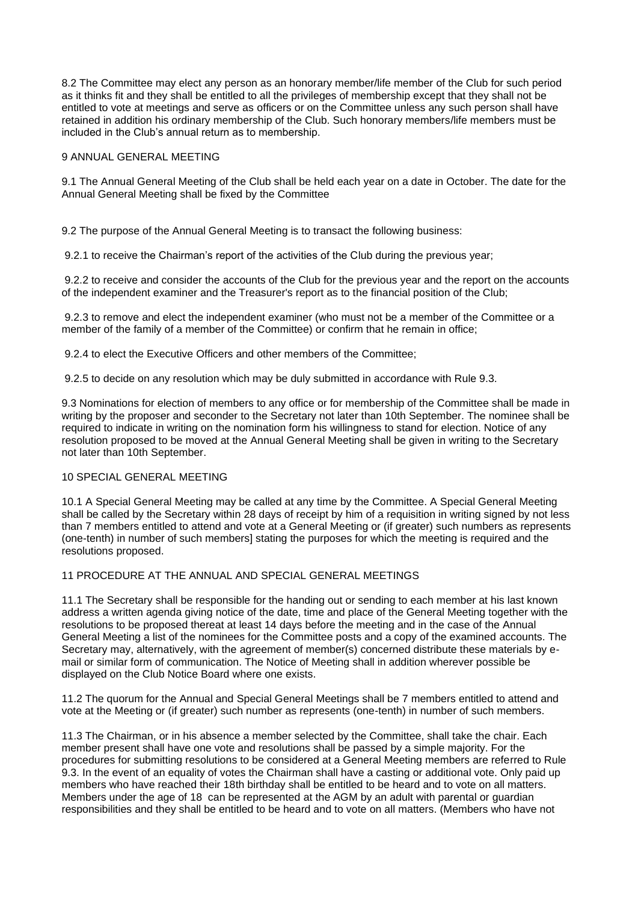8.2 The Committee may elect any person as an honorary member/life member of the Club for such period as it thinks fit and they shall be entitled to all the privileges of membership except that they shall not be entitled to vote at meetings and serve as officers or on the Committee unless any such person shall have retained in addition his ordinary membership of the Club. Such honorary members/life members must be included in the Club's annual return as to membership.

## 9 ANNUAL GENERAL MEETING

9.1 The Annual General Meeting of the Club shall be held each year on a date in October. The date for the Annual General Meeting shall be fixed by the Committee

9.2 The purpose of the Annual General Meeting is to transact the following business:

9.2.1 to receive the Chairman's report of the activities of the Club during the previous year;

9.2.2 to receive and consider the accounts of the Club for the previous year and the report on the accounts of the independent examiner and the Treasurer's report as to the financial position of the Club;

9.2.3 to remove and elect the independent examiner (who must not be a member of the Committee or a member of the family of a member of the Committee) or confirm that he remain in office;

9.2.4 to elect the Executive Officers and other members of the Committee;

9.2.5 to decide on any resolution which may be duly submitted in accordance with Rule 9.3.

9.3 Nominations for election of members to any office or for membership of the Committee shall be made in writing by the proposer and seconder to the Secretary not later than 10th September. The nominee shall be required to indicate in writing on the nomination form his willingness to stand for election. Notice of any resolution proposed to be moved at the Annual General Meeting shall be given in writing to the Secretary not later than 10th September.

# 10 SPECIAL GENERAL MEETING

10.1 A Special General Meeting may be called at any time by the Committee. A Special General Meeting shall be called by the Secretary within 28 days of receipt by him of a requisition in writing signed by not less than 7 members entitled to attend and vote at a General Meeting or (if greater) such numbers as represents (one-tenth) in number of such members] stating the purposes for which the meeting is required and the resolutions proposed.

# 11 PROCEDURE AT THE ANNUAL AND SPECIAL GENERAL MEETINGS

11.1 The Secretary shall be responsible for the handing out or sending to each member at his last known address a written agenda giving notice of the date, time and place of the General Meeting together with the resolutions to be proposed thereat at least 14 days before the meeting and in the case of the Annual General Meeting a list of the nominees for the Committee posts and a copy of the examined accounts. The Secretary may, alternatively, with the agreement of member(s) concerned distribute these materials by email or similar form of communication. The Notice of Meeting shall in addition wherever possible be displayed on the Club Notice Board where one exists.

11.2 The quorum for the Annual and Special General Meetings shall be 7 members entitled to attend and vote at the Meeting or (if greater) such number as represents (one-tenth) in number of such members.

11.3 The Chairman, or in his absence a member selected by the Committee, shall take the chair. Each member present shall have one vote and resolutions shall be passed by a simple majority. For the procedures for submitting resolutions to be considered at a General Meeting members are referred to Rule 9.3. In the event of an equality of votes the Chairman shall have a casting or additional vote. Only paid up members who have reached their 18th birthday shall be entitled to be heard and to vote on all matters. Members under the age of 18 can be represented at the AGM by an adult with parental or guardian responsibilities and they shall be entitled to be heard and to vote on all matters. (Members who have not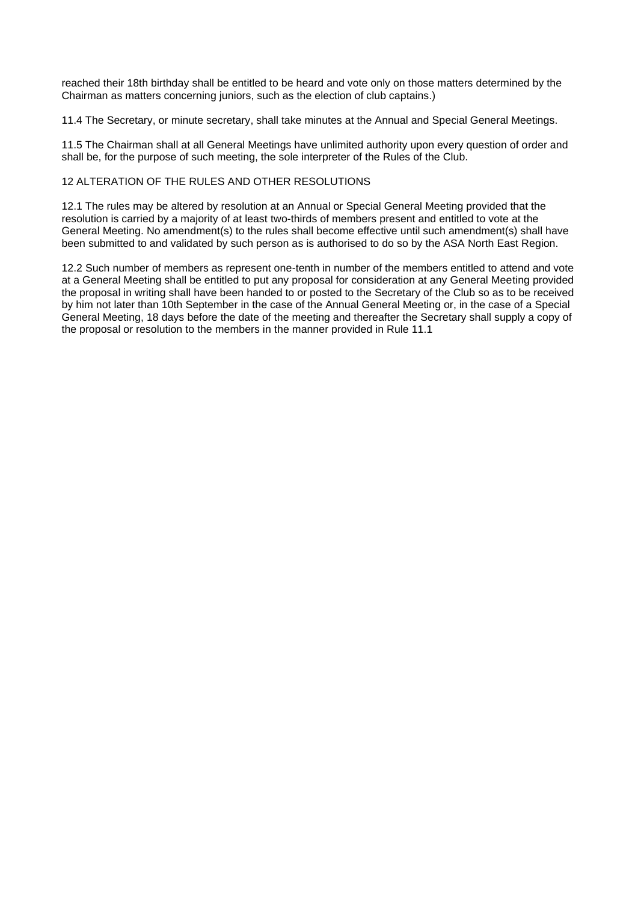reached their 18th birthday shall be entitled to be heard and vote only on those matters determined by the Chairman as matters concerning juniors, such as the election of club captains.)

11.4 The Secretary, or minute secretary, shall take minutes at the Annual and Special General Meetings.

11.5 The Chairman shall at all General Meetings have unlimited authority upon every question of order and shall be, for the purpose of such meeting, the sole interpreter of the Rules of the Club.

# 12 ALTERATION OF THE RULES AND OTHER RESOLUTIONS

12.1 The rules may be altered by resolution at an Annual or Special General Meeting provided that the resolution is carried by a majority of at least two-thirds of members present and entitled to vote at the General Meeting. No amendment(s) to the rules shall become effective until such amendment(s) shall have been submitted to and validated by such person as is authorised to do so by the ASA North East Region.

12.2 Such number of members as represent one-tenth in number of the members entitled to attend and vote at a General Meeting shall be entitled to put any proposal for consideration at any General Meeting provided the proposal in writing shall have been handed to or posted to the Secretary of the Club so as to be received by him not later than 10th September in the case of the Annual General Meeting or, in the case of a Special General Meeting, 18 days before the date of the meeting and thereafter the Secretary shall supply a copy of the proposal or resolution to the members in the manner provided in Rule 11.1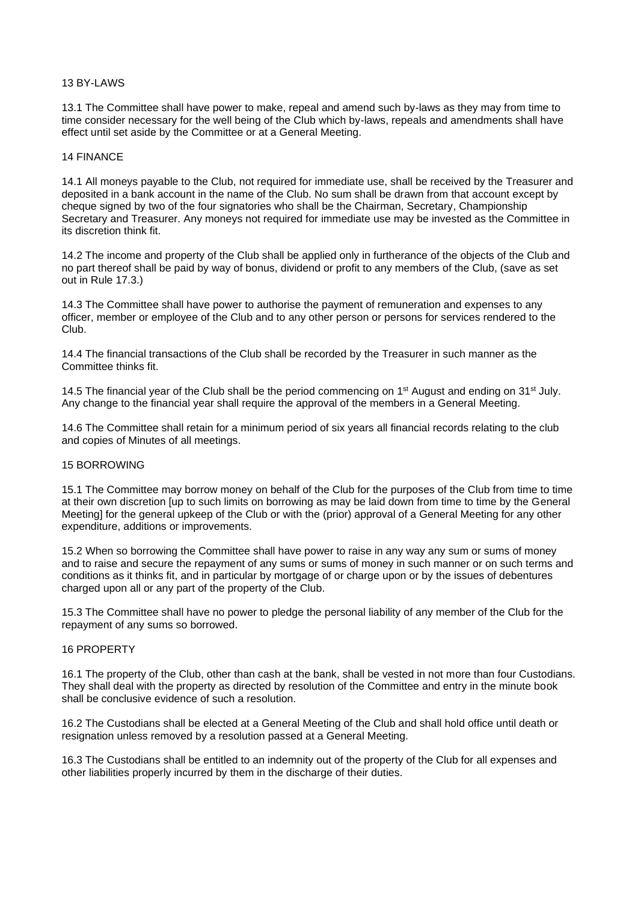### 13 BY-LAWS

13.1 The Committee shall have power to make, repeal and amend such by-laws as they may from time to time consider necessary for the well being of the Club which by-laws, repeals and amendments shall have effect until set aside by the Committee or at a General Meeting.

### 14 FINANCE

14.1 All moneys payable to the Club, not required for immediate use, shall be received by the Treasurer and deposited in a bank account in the name of the Club. No sum shall be drawn from that account except by cheque signed by two of the four signatories who shall be the Chairman, Secretary, Championship Secretary and Treasurer. Any moneys not required for immediate use may be invested as the Committee in its discretion think fit.

14.2 The income and property of the Club shall be applied only in furtherance of the objects of the Club and no part thereof shall be paid by way of bonus, dividend or profit to any members of the Club, (save as set out in Rule 17.3.)

14.3 The Committee shall have power to authorise the payment of remuneration and expenses to any officer, member or employee of the Club and to any other person or persons for services rendered to the Club.

14.4 The financial transactions of the Club shall be recorded by the Treasurer in such manner as the Committee thinks fit.

14.5 The financial year of the Club shall be the period commencing on 1<sup>st</sup> August and ending on 31<sup>st</sup> July. Any change to the financial year shall require the approval of the members in a General Meeting.

14.6 The Committee shall retain for a minimum period of six years all financial records relating to the club and copies of Minutes of all meetings.

### 15 BORROWING

15.1 The Committee may borrow money on behalf of the Club for the purposes of the Club from time to time at their own discretion [up to such limits on borrowing as may be laid down from time to time by the General Meeting] for the general upkeep of the Club or with the (prior) approval of a General Meeting for any other expenditure, additions or improvements.

15.2 When so borrowing the Committee shall have power to raise in any way any sum or sums of money and to raise and secure the repayment of any sums or sums of money in such manner or on such terms and conditions as it thinks fit, and in particular by mortgage of or charge upon or by the issues of debentures charged upon all or any part of the property of the Club.

15.3 The Committee shall have no power to pledge the personal liability of any member of the Club for the repayment of any sums so borrowed.

### 16 PROPERTY

16.1 The property of the Club, other than cash at the bank, shall be vested in not more than four Custodians. They shall deal with the property as directed by resolution of the Committee and entry in the minute book shall be conclusive evidence of such a resolution.

16.2 The Custodians shall be elected at a General Meeting of the Club and shall hold office until death or resignation unless removed by a resolution passed at a General Meeting.

16.3 The Custodians shall be entitled to an indemnity out of the property of the Club for all expenses and other liabilities properly incurred by them in the discharge of their duties.